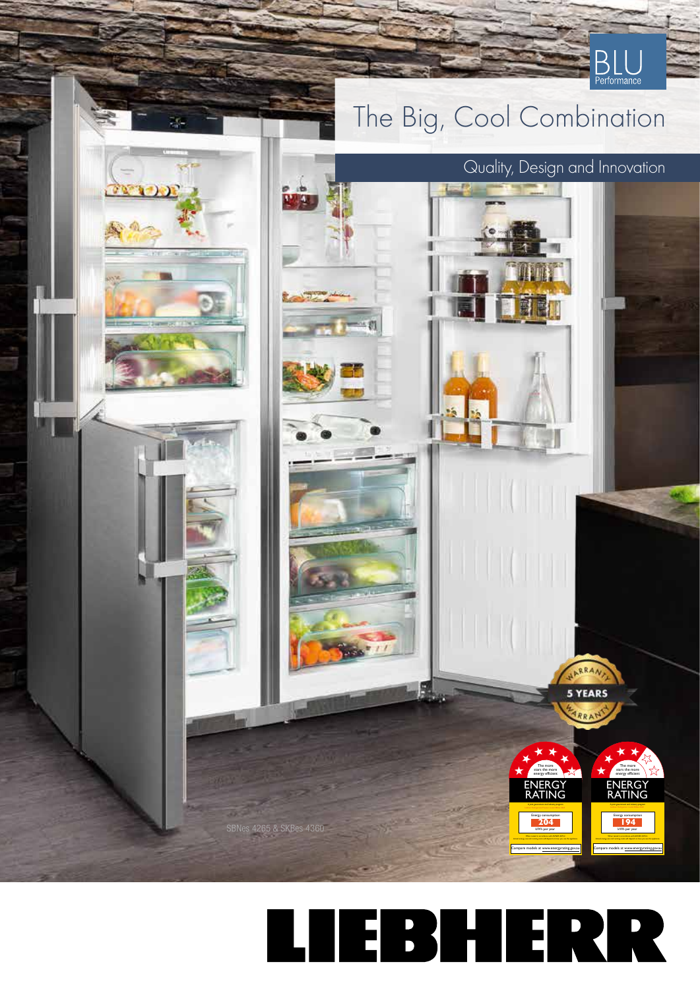

## TEBHERR Ц